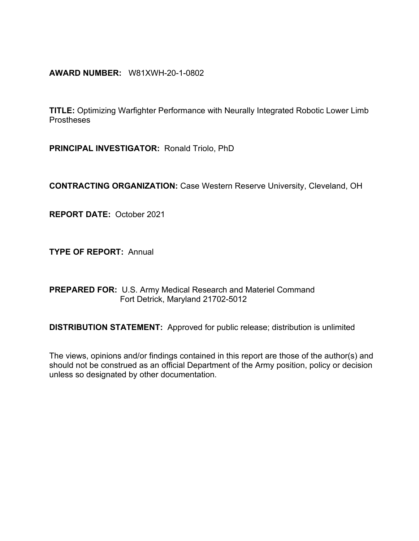**AWARD NUMBER:** W81XWH-20-1-0802

**TITLE:** Optimizing Warfighter Performance with Neurally Integrated Robotic Lower Limb **Prostheses** 

**PRINCIPAL INVESTIGATOR:** Ronald Triolo, PhD

**CONTRACTING ORGANIZATION:** Case Western Reserve University, Cleveland, OH

**REPORT DATE:** October 2021

**TYPE OF REPORT:** Annual

**PREPARED FOR:** U.S. Army Medical Research and Materiel Command Fort Detrick, Maryland 21702-5012

**DISTRIBUTION STATEMENT:** Approved for public release; distribution is unlimited

The views, opinions and/or findings contained in this report are those of the author(s) and should not be construed as an official Department of the Army position, policy or decision unless so designated by other documentation.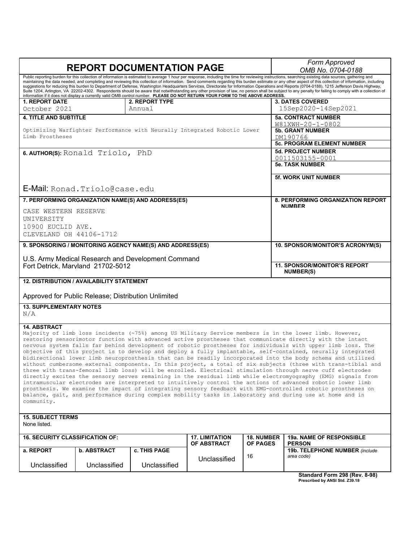|                                                                                                                                                                                                                                                                                                                                                                                                           |                                                     |                                                           |                       |                   | Form Approved                                                                                                                                                                                                              |  |  |  |
|-----------------------------------------------------------------------------------------------------------------------------------------------------------------------------------------------------------------------------------------------------------------------------------------------------------------------------------------------------------------------------------------------------------|-----------------------------------------------------|-----------------------------------------------------------|-----------------------|-------------------|----------------------------------------------------------------------------------------------------------------------------------------------------------------------------------------------------------------------------|--|--|--|
|                                                                                                                                                                                                                                                                                                                                                                                                           |                                                     | <b>REPORT DOCUMENTATION PAGE</b>                          |                       |                   | OMB No. 0704-0188                                                                                                                                                                                                          |  |  |  |
| Public reporting burden for this collection of information is estimated to average 1 hour per response, including the time for reviewing instructions, searching existing data sources, gathering and                                                                                                                                                                                                     |                                                     |                                                           |                       |                   |                                                                                                                                                                                                                            |  |  |  |
| maintaining the data needed, and completing and reviewing this collection of information. Send comments regarding this burden estimate or any other aspect of this collection of information, including<br>suggestions for reducing this burden to Department of Defense, Washington Headquarters Services, Directorate for Information Operations and Reports (0704-0188), 1215 Jefferson Davis Highway, |                                                     |                                                           |                       |                   |                                                                                                                                                                                                                            |  |  |  |
| Suite 1204, Arlington, VA 22202-4302. Respondents should be aware that notwithstanding any other provision of law, no person shall be subject to any penalty for failing to comply with a collection of<br>information if it does not display a currently valid OMB control number. PLEASE DO NOT RETURN YOUR FORM TO THE ABOVE ADDRESS.                                                                  |                                                     |                                                           |                       |                   |                                                                                                                                                                                                                            |  |  |  |
| <b>1. REPORT DATE</b>                                                                                                                                                                                                                                                                                                                                                                                     |                                                     | 2. REPORT TYPE                                            |                       |                   | <b>3. DATES COVERED</b>                                                                                                                                                                                                    |  |  |  |
| October 2021                                                                                                                                                                                                                                                                                                                                                                                              |                                                     | Annual                                                    |                       |                   | 15Sep2020-14Sep2021                                                                                                                                                                                                        |  |  |  |
| <b>4. TITLE AND SUBTITLE</b>                                                                                                                                                                                                                                                                                                                                                                              |                                                     |                                                           |                       |                   | <b>5a. CONTRACT NUMBER</b>                                                                                                                                                                                                 |  |  |  |
|                                                                                                                                                                                                                                                                                                                                                                                                           |                                                     |                                                           |                       |                   | W81XWH-20-1-0802                                                                                                                                                                                                           |  |  |  |
| Optimizing Warfighter Performance with Neurally Integrated Robotic Lower<br><b>5b. GRANT NUMBER</b>                                                                                                                                                                                                                                                                                                       |                                                     |                                                           |                       |                   |                                                                                                                                                                                                                            |  |  |  |
| Limb Prostheses                                                                                                                                                                                                                                                                                                                                                                                           |                                                     |                                                           |                       |                   | DM190766                                                                                                                                                                                                                   |  |  |  |
|                                                                                                                                                                                                                                                                                                                                                                                                           |                                                     |                                                           |                       |                   | <b>5c. PROGRAM ELEMENT NUMBER</b>                                                                                                                                                                                          |  |  |  |
|                                                                                                                                                                                                                                                                                                                                                                                                           | 6. AUTHOR(S): Ronald Triolo, PhD                    |                                                           |                       |                   | <b>5d. PROJECT NUMBER</b>                                                                                                                                                                                                  |  |  |  |
|                                                                                                                                                                                                                                                                                                                                                                                                           |                                                     |                                                           |                       |                   | 0011503155-0001                                                                                                                                                                                                            |  |  |  |
|                                                                                                                                                                                                                                                                                                                                                                                                           |                                                     |                                                           |                       |                   | <b>5e. TASK NUMBER</b>                                                                                                                                                                                                     |  |  |  |
|                                                                                                                                                                                                                                                                                                                                                                                                           |                                                     |                                                           |                       |                   | <b>5f. WORK UNIT NUMBER</b>                                                                                                                                                                                                |  |  |  |
|                                                                                                                                                                                                                                                                                                                                                                                                           |                                                     |                                                           |                       |                   |                                                                                                                                                                                                                            |  |  |  |
|                                                                                                                                                                                                                                                                                                                                                                                                           | E-Mail: Ronad. Triolo@case.edu                      |                                                           |                       |                   |                                                                                                                                                                                                                            |  |  |  |
|                                                                                                                                                                                                                                                                                                                                                                                                           |                                                     | 7. PERFORMING ORGANIZATION NAME(S) AND ADDRESS(ES)        |                       |                   | 8. PERFORMING ORGANIZATION REPORT                                                                                                                                                                                          |  |  |  |
|                                                                                                                                                                                                                                                                                                                                                                                                           |                                                     |                                                           |                       |                   | <b>NUMBER</b>                                                                                                                                                                                                              |  |  |  |
| CASE WESTERN RESERVE                                                                                                                                                                                                                                                                                                                                                                                      |                                                     |                                                           |                       |                   |                                                                                                                                                                                                                            |  |  |  |
| UNIVERSITY                                                                                                                                                                                                                                                                                                                                                                                                |                                                     |                                                           |                       |                   |                                                                                                                                                                                                                            |  |  |  |
| 10900 EUCLID AVE.                                                                                                                                                                                                                                                                                                                                                                                         |                                                     |                                                           |                       |                   |                                                                                                                                                                                                                            |  |  |  |
| CLEVELAND OH 44106-1712                                                                                                                                                                                                                                                                                                                                                                                   |                                                     |                                                           |                       |                   |                                                                                                                                                                                                                            |  |  |  |
|                                                                                                                                                                                                                                                                                                                                                                                                           |                                                     | 9. SPONSORING / MONITORING AGENCY NAME(S) AND ADDRESS(ES) |                       |                   | 10. SPONSOR/MONITOR'S ACRONYM(S)                                                                                                                                                                                           |  |  |  |
|                                                                                                                                                                                                                                                                                                                                                                                                           |                                                     |                                                           |                       |                   |                                                                                                                                                                                                                            |  |  |  |
|                                                                                                                                                                                                                                                                                                                                                                                                           |                                                     | U.S. Army Medical Research and Development Command        |                       |                   |                                                                                                                                                                                                                            |  |  |  |
|                                                                                                                                                                                                                                                                                                                                                                                                           | Fort Detrick. Marvland 21702-5012                   |                                                           |                       |                   | <b>11. SPONSOR/MONITOR'S REPORT</b>                                                                                                                                                                                        |  |  |  |
|                                                                                                                                                                                                                                                                                                                                                                                                           |                                                     |                                                           |                       |                   | <b>NUMBER(S)</b>                                                                                                                                                                                                           |  |  |  |
|                                                                                                                                                                                                                                                                                                                                                                                                           | <b>12. DISTRIBUTION / AVAILABILITY STATEMENT</b>    |                                                           |                       |                   |                                                                                                                                                                                                                            |  |  |  |
|                                                                                                                                                                                                                                                                                                                                                                                                           |                                                     |                                                           |                       |                   |                                                                                                                                                                                                                            |  |  |  |
|                                                                                                                                                                                                                                                                                                                                                                                                           | Approved for Public Release; Distribution Unlimited |                                                           |                       |                   |                                                                                                                                                                                                                            |  |  |  |
| <b>13. SUPPLEMENTARY NOTES</b>                                                                                                                                                                                                                                                                                                                                                                            |                                                     |                                                           |                       |                   |                                                                                                                                                                                                                            |  |  |  |
| N/A                                                                                                                                                                                                                                                                                                                                                                                                       |                                                     |                                                           |                       |                   |                                                                                                                                                                                                                            |  |  |  |
|                                                                                                                                                                                                                                                                                                                                                                                                           |                                                     |                                                           |                       |                   |                                                                                                                                                                                                                            |  |  |  |
| <b>14. ABSTRACT</b>                                                                                                                                                                                                                                                                                                                                                                                       |                                                     |                                                           |                       |                   |                                                                                                                                                                                                                            |  |  |  |
| Majority of limb loss incidents (~75%) among US Military Service members is in the lower limb. However,<br>restoring sensorimotor function with advanced active prostheses that communicate directly with the intact                                                                                                                                                                                      |                                                     |                                                           |                       |                   |                                                                                                                                                                                                                            |  |  |  |
|                                                                                                                                                                                                                                                                                                                                                                                                           |                                                     |                                                           |                       |                   |                                                                                                                                                                                                                            |  |  |  |
|                                                                                                                                                                                                                                                                                                                                                                                                           |                                                     |                                                           |                       |                   | nervous system falls far behind development of robotic prostheses for individuals with upper limb loss. The<br>objective of this project is to develop and deploy a fully implantable, self-contained, neurally integrated |  |  |  |
|                                                                                                                                                                                                                                                                                                                                                                                                           |                                                     |                                                           |                       |                   | bidirectional lower limb neuroprosthesis that can be readily incorporated into the body schema and utilized                                                                                                                |  |  |  |
|                                                                                                                                                                                                                                                                                                                                                                                                           |                                                     |                                                           |                       |                   | without cumbersome external components. In this project, a total of six subjects (three with trans-tibial and                                                                                                              |  |  |  |
|                                                                                                                                                                                                                                                                                                                                                                                                           |                                                     |                                                           |                       |                   | three with trans-femoral limb loss) will be enrolled. Electrical stimulation through nerve cuff electrodes                                                                                                                 |  |  |  |
|                                                                                                                                                                                                                                                                                                                                                                                                           |                                                     |                                                           |                       |                   | directly excites the sensory nerves remaining in the residual limb while electromyography (EMG) signals from                                                                                                               |  |  |  |
|                                                                                                                                                                                                                                                                                                                                                                                                           |                                                     |                                                           |                       |                   | intramuscular electrodes are interpreted to intuitively control the actions of advanced robotic lower limb                                                                                                                 |  |  |  |
|                                                                                                                                                                                                                                                                                                                                                                                                           |                                                     |                                                           |                       |                   | prosthesis. We examine the impact of integrating sensory feedback with EMG-controlled robotic prostheses on                                                                                                                |  |  |  |
| balance, gait, and performance during complex mobility tasks in laboratory and during use at home and in<br>community.                                                                                                                                                                                                                                                                                    |                                                     |                                                           |                       |                   |                                                                                                                                                                                                                            |  |  |  |
|                                                                                                                                                                                                                                                                                                                                                                                                           |                                                     |                                                           |                       |                   |                                                                                                                                                                                                                            |  |  |  |
| <b>15. SUBJECT TERMS</b>                                                                                                                                                                                                                                                                                                                                                                                  |                                                     |                                                           |                       |                   |                                                                                                                                                                                                                            |  |  |  |
| None listed.                                                                                                                                                                                                                                                                                                                                                                                              |                                                     |                                                           |                       |                   |                                                                                                                                                                                                                            |  |  |  |
|                                                                                                                                                                                                                                                                                                                                                                                                           |                                                     |                                                           |                       |                   |                                                                                                                                                                                                                            |  |  |  |
| <b>16. SECURITY CLASSIFICATION OF:</b>                                                                                                                                                                                                                                                                                                                                                                    |                                                     |                                                           | <b>17. LIMITATION</b> | <b>18. NUMBER</b> | <b>19a. NAME OF RESPONSIBLE</b>                                                                                                                                                                                            |  |  |  |
|                                                                                                                                                                                                                                                                                                                                                                                                           |                                                     |                                                           | OF ABSTRACT           | <b>OF PAGES</b>   | <b>PERSON</b>                                                                                                                                                                                                              |  |  |  |
| a. REPORT                                                                                                                                                                                                                                                                                                                                                                                                 | <b>b. ABSTRACT</b>                                  | <b>c. THIS PAGE</b>                                       |                       | 16                | 19b. TELEPHONE NUMBER (include<br>area code)                                                                                                                                                                               |  |  |  |
|                                                                                                                                                                                                                                                                                                                                                                                                           |                                                     |                                                           | Unclassified          |                   |                                                                                                                                                                                                                            |  |  |  |
| Unclassified                                                                                                                                                                                                                                                                                                                                                                                              | Unclassified                                        | Unclassified                                              |                       |                   |                                                                                                                                                                                                                            |  |  |  |
|                                                                                                                                                                                                                                                                                                                                                                                                           |                                                     |                                                           |                       |                   | Standard Form 298 (Rev. 8-98)<br>Prescribed by ANSI Std. Z39.18                                                                                                                                                            |  |  |  |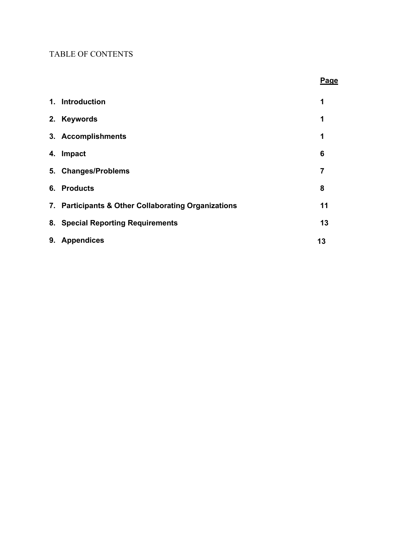# TABLE OF CONTENTS

| × |
|---|
|---|

|    | 1. Introduction                                     | 1  |
|----|-----------------------------------------------------|----|
| 2. | <b>Keywords</b>                                     | 1  |
|    | 3. Accomplishments                                  | 1  |
| 4. | Impact                                              | 6  |
|    | 5. Changes/Problems                                 | 7  |
|    | 6. Products                                         | 8  |
|    | 7. Participants & Other Collaborating Organizations | 11 |
|    | 8. Special Reporting Requirements                   | 13 |
| 9. | <b>Appendices</b>                                   | 13 |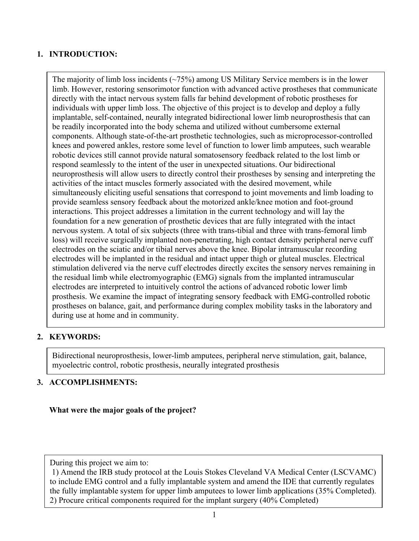## **1. INTRODUCTION:**

 provide seamless sensory feedback about the motorized ankle/knee motion and foot-ground The majority of limb loss incidents  $(\sim 75\%)$  among US Military Service members is in the lower limb. However, restoring sensorimotor function with advanced active prostheses that communicate directly with the intact nervous system falls far behind development of robotic prostheses for individuals with upper limb loss. The objective of this project is to develop and deploy a fully implantable, self-contained, neurally integrated bidirectional lower limb neuroprosthesis that can be readily incorporated into the body schema and utilized without cumbersome external components. Although state-of-the-art prosthetic technologies, such as microprocessor-controlled knees and powered ankles, restore some level of function to lower limb amputees, such wearable robotic devices still cannot provide natural somatosensory feedback related to the lost limb or respond seamlessly to the intent of the user in unexpected situations. Our bidirectional neuroprosthesis will allow users to directly control their prostheses by sensing and interpreting the activities of the intact muscles formerly associated with the desired movement, while simultaneously eliciting useful sensations that correspond to joint movements and limb loading to interactions. This project addresses a limitation in the current technology and will lay the foundation for a new generation of prosthetic devices that are fully integrated with the intact nervous system. A total of six subjects (three with trans-tibial and three with trans-femoral limb loss) will receive surgically implanted non-penetrating, high contact density peripheral nerve cuff electrodes on the sciatic and/or tibial nerves above the knee. Bipolar intramuscular recording electrodes will be implanted in the residual and intact upper thigh or gluteal muscles. Electrical stimulation delivered via the nerve cuff electrodes directly excites the sensory nerves remaining in the residual limb while electromyographic (EMG) signals from the implanted intramuscular electrodes are interpreted to intuitively control the actions of advanced robotic lower limb prosthesis. We examine the impact of integrating sensory feedback with EMG-controlled robotic prostheses on balance, gait, and performance during complex mobility tasks in the laboratory and during use at home and in community.

# **2. KEYWORDS:**

Bidirectional neuroprosthesis, lower-limb amputees, peripheral nerve stimulation, gait, balance, myoelectric control, robotic prosthesis, neurally integrated prosthesis

## **3. ACCOMPLISHMENTS:**

## **What were the major goals of the project?**

During this project we aim to:

1) Amend the IRB study protocol at the Louis Stokes Cleveland VA Medical Center (LSCVAMC) to include EMG control and a fully implantable system and amend the IDE that currently regulates the fully implantable system for upper limb amputees to lower limb applications (35% Completed). 2) Procure critical components required for the implant surgery (40% Completed)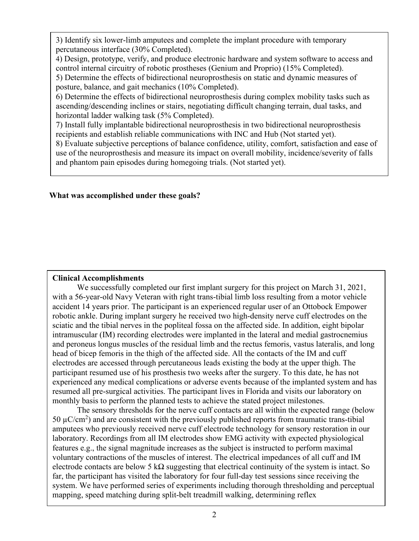3) Identify six lower-limb amputees and complete the implant procedure with temporary percutaneous interface (30% Completed).

4) Design, prototype, verify, and produce electronic hardware and system software to access and control internal circuitry of robotic prostheses (Genium and Proprio) (15% Completed).

5) Determine the effects of bidirectional neuroprosthesis on static and dynamic measures of posture, balance, and gait mechanics (10% Completed).

6) Determine the effects of bidirectional neuroprosthesis during complex mobility tasks such as ascending/descending inclines or stairs, negotiating difficult changing terrain, dual tasks, and horizontal ladder walking task (5% Completed).

7) Install fully implantable bidirectional neuroprosthesis in two bidirectional neuroprosthesis recipients and establish reliable communications with INC and Hub (Not started yet).

8) Evaluate subjective perceptions of balance confidence, utility, comfort, satisfaction and ease of use of the neuroprosthesis and measure its impact on overall mobility, incidence/severity of falls and phantom pain episodes during homegoing trials. (Not started yet).

## **What was accomplished under these goals?**

# **Clinical Accomplishments**

We successfully completed our first implant surgery for this project on March 31, 2021, with a 56-year-old Navy Veteran with right trans-tibial limb loss resulting from a motor vehicle accident 14 years prior. The participant is an experienced regular user of an Ottobock Empower robotic ankle. During implant surgery he received two high-density nerve cuff electrodes on the sciatic and the tibial nerves in the popliteal fossa on the affected side. In addition, eight bipolar intramuscular (IM) recording electrodes were implanted in the lateral and medial gastrocnemius and peroneus longus muscles of the residual limb and the rectus femoris, vastus lateralis, and long head of bicep femoris in the thigh of the affected side. All the contacts of the IM and cuff electrodes are accessed through percutaneous leads existing the body at the upper thigh. The participant resumed use of his prosthesis two weeks after the surgery. To this date, he has not experienced any medical complications or adverse events because of the implanted system and has resumed all pre-surgical activities. The participant lives in Florida and visits our laboratory on monthly basis to perform the planned tests to achieve the stated project milestones.

The sensory thresholds for the nerve cuff contacts are all within the expected range (below 50  $\mu$ C/cm<sup>2</sup>) and are consistent with the previously published reports from traumatic trans-tibial amputees who previously received nerve cuff electrode technology for sensory restoration in our laboratory. Recordings from all IM electrodes show EMG activity with expected physiological features e.g., the signal magnitude increases as the subject is instructed to perform maximal voluntary contractions of the muscles of interest. The electrical impedances of all cuff and IM electrode contacts are below 5 k $\Omega$  suggesting that electrical continuity of the system is intact. So far, the participant has visited the laboratory for four full-day test sessions since receiving the system. We have performed series of experiments including thorough thresholding and perceptual mapping, speed matching during split-belt treadmill walking, determining reflex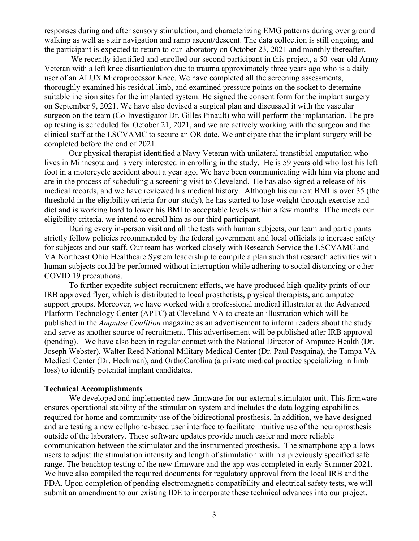responses during and after sensory stimulation, and characterizing EMG patterns during over ground walking as well as stair navigation and ramp ascent/descent. The data collection is still ongoing, and the participant is expected to return to our laboratory on October 23, 2021 and monthly thereafter.

We recently identified and enrolled our second participant in this project, a 50-year-old Army Veteran with a left knee disarticulation due to trauma approximately three years ago who is a daily user of an ALUX Microprocessor Knee. We have completed all the screening assessments, thoroughly examined his residual limb, and examined pressure points on the socket to determine suitable incision sites for the implanted system. He signed the consent form for the implant surgery on September 9, 2021. We have also devised a surgical plan and discussed it with the vascular surgeon on the team (Co-Investigator Dr. Gilles Pinault) who will perform the implantation. The preop testing is scheduled for October 21, 2021, and we are actively working with the surgeon and the clinical staff at the LSCVAMC to secure an OR date. We anticipate that the implant surgery will be completed before the end of 2021.

Our physical therapist identified a Navy Veteran with unilateral transtibial amputation who lives in Minnesota and is very interested in enrolling in the study. He is 59 years old who lost his left foot in a motorcycle accident about a year ago. We have been communicating with him via phone and are in the process of scheduling a screening visit to Cleveland. He has also signed a release of his medical records, and we have reviewed his medical history. Although his current BMI is over 35 (the threshold in the eligibility criteria for our study), he has started to lose weight through exercise and diet and is working hard to lower his BMI to acceptable levels within a few months. If he meets our eligibility criteria, we intend to enroll him as our third participant.

During every in-person visit and all the tests with human subjects, our team and participants strictly follow policies recommended by the federal government and local officials to increase safety for subjects and our staff. Our team has worked closely with Research Service the LSCVAMC and VA Northeast Ohio Healthcare System leadership to compile a plan such that research activities with human subjects could be performed without interruption while adhering to social distancing or other COVID 19 precautions.

To further expedite subject recruitment efforts, we have produced high-quality prints of our IRB approved flyer, which is distributed to local prosthetists, physical therapists, and amputee support groups. Moreover, we have worked with a professional medical illustrator at the Advanced Platform Technology Center (APTC) at Cleveland VA to create an illustration which will be published in the *Amputee Coalition* magazine as an advertisement to inform readers about the study and serve as another source of recruitment. This advertisement will be published after IRB approval (pending). We have also been in regular contact with the National Director of Amputee Health (Dr. Joseph Webster), Walter Reed National Military Medical Center (Dr. Paul Pasquina), the Tampa VA Medical Center (Dr. Heckman), and OrthoCarolina (a private medical practice specializing in limb loss) to identify potential implant candidates.

#### **Technical Accomplishments**

We developed and implemented new firmware for our external stimulator unit. This firmware ensures operational stability of the stimulation system and includes the data logging capabilities required for home and community use of the bidirectional prosthesis. In addition, we have designed and are testing a new cellphone-based user interface to facilitate intuitive use of the neuroprosthesis outside of the laboratory. These software updates provide much easier and more reliable communication between the stimulator and the instrumented prosthesis. The smartphone app allows users to adjust the stimulation intensity and length of stimulation within a previously specified safe range. The benchtop testing of the new firmware and the app was completed in early Summer 2021. We have also compiled the required documents for regulatory approval from the local IRB and the FDA. Upon completion of pending electromagnetic compatibility and electrical safety tests, we will submit an amendment to our existing IDE to incorporate these technical advances into our project.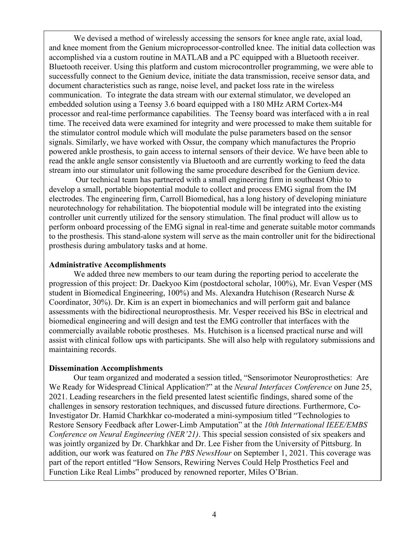We devised a method of wirelessly accessing the sensors for knee angle rate, axial load, and knee moment from the Genium microprocessor-controlled knee. The initial data collection was accomplished via a custom routine in MATLAB and a PC equipped with a Bluetooth receiver. Bluetooth receiver. Using this platform and custom microcontroller programming, we were able to successfully connect to the Genium device, initiate the data transmission, receive sensor data, and document characteristics such as range, noise level, and packet loss rate in the wireless communication. To integrate the data stream with our external stimulator, we developed an embedded solution using a Teensy 3.6 board equipped with a 180 MHz ARM Cortex-M4 processor and real-time performance capabilities. The Teensy board was interfaced with a in real time. The received data were examined for integrity and were processed to make them suitable for the stimulator control module which will modulate the pulse parameters based on the sensor signals. Similarly, we have worked with Ossur, the company which manufactures the Proprio powered ankle prosthesis, to gain access to internal sensors of their device. We have been able to read the ankle angle sensor consistently via Bluetooth and are currently working to feed the data stream into our stimulator unit following the same procedure described for the Genium device.

Our technical team has partnered with a small engineering firm in southeast Ohio to develop a small, portable biopotential module to collect and process EMG signal from the IM electrodes. The engineering firm, Carroll Biomedical, has a long history of developing miniature neurotechnology for rehabilitation. The biopotential module will be integrated into the existing controller unit currently utilized for the sensory stimulation. The final product will allow us to perform onboard processing of the EMG signal in real-time and generate suitable motor commands to the prosthesis. This stand-alone system will serve as the main controller unit for the bidirectional prosthesis during ambulatory tasks and at home.

#### **Administrative Accomplishments**

We added three new members to our team during the reporting period to accelerate the progression of this project: Dr. Daekyoo Kim (postdoctoral scholar, 100%), Mr. Evan Vesper (MS student in Biomedical Engineering, 100%) and Ms. Alexandra Hutchison (Research Nurse & Coordinator, 30%). Dr. Kim is an expert in biomechanics and will perform gait and balance assessments with the bidirectional neuroprosthesis. Mr. Vesper received his BSc in electrical and biomedical engineering and will design and test the EMG controller that interfaces with the commercially available robotic prostheses. Ms. Hutchison is a licensed practical nurse and will assist with clinical follow ups with participants. She will also help with regulatory submissions and maintaining records.

#### **Dissemination Accomplishments**

Our team organized and moderated a session titled, "Sensorimotor Neuroprosthetics: Are We Ready for Widespread Clinical Application?" at the *Neural Interfaces Conference* on June 25, 2021. Leading researchers in the field presented latest scientific findings, shared some of the challenges in sensory restoration techniques, and discussed future directions. Furthermore, Co-Investigator Dr. Hamid Charkhkar co-moderated a mini-symposium titled "Technologies to Restore Sensory Feedback after Lower-Limb Amputation" at the *10th International IEEE/EMBS Conference on Neural Engineering (NER'21)*. This special session consisted of six speakers and was jointly organized by Dr. Charkhkar and Dr. Lee Fisher from the University of Pittsburg. In addition, our work was featured on *The PBS NewsHour* on September 1, 2021. This coverage was part of the report entitled "How Sensors, Rewiring Nerves Could Help Prosthetics Feel and Function Like Real Limbs" produced by renowned reporter, Miles O'Brian.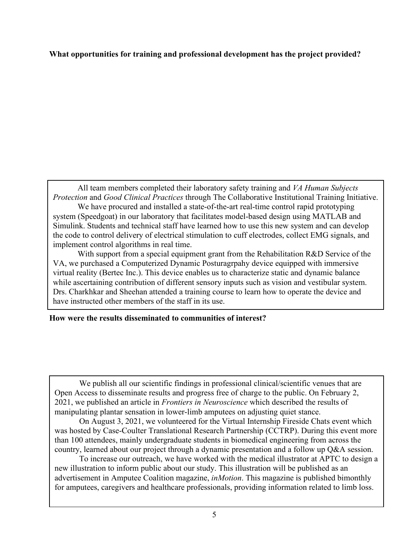#### **What opportunities for training and professional development has the project provided?**

All team members completed their laboratory safety training and *VA Human Subjects Protection* and *Good Clinical Practices* through The Collaborative Institutional Training Initiative.

We have procured and installed a state-of-the-art real-time control rapid prototyping system (Speedgoat) in our laboratory that facilitates model-based design using MATLAB and Simulink. Students and technical staff have learned how to use this new system and can develop the code to control delivery of electrical stimulation to cuff electrodes, collect EMG signals, and implement control algorithms in real time.

With support from a special equipment grant from the Rehabilitation R&D Service of the VA, we purchased a Computerized Dynamic Posturagrpahy device equipped with immersive virtual reality (Bertec Inc.). This device enables us to characterize static and dynamic balance while ascertaining contribution of different sensory inputs such as vision and vestibular system. Drs. Charkhkar and Sheehan attended a training course to learn how to operate the device and have instructed other members of the staff in its use.

#### **How were the results disseminated to communities of interest?**

We publish all our scientific findings in professional clinical/scientific venues that are Open Access to disseminate results and progress free of charge to the public. On February 2, 2021, we published an article in *Frontiers in Neuroscience* which described the results of manipulating plantar sensation in lower-limb amputees on adjusting quiet stance.

On August 3, 2021, we volunteered for the Virtual Internship Fireside Chats event which was hosted by Case-Coulter Translational Research Partnership (CCTRP). During this event more than 100 attendees, mainly undergraduate students in biomedical engineering from across the country, learned about our project through a dynamic presentation and a follow up Q&A session.

To increase our outreach, we have worked with the medical illustrator at APTC to design a new illustration to inform public about our study. This illustration will be published as an advertisement in Amputee Coalition magazine, *inMotion*. This magazine is published bimonthly for amputees, caregivers and healthcare professionals, providing information related to limb loss.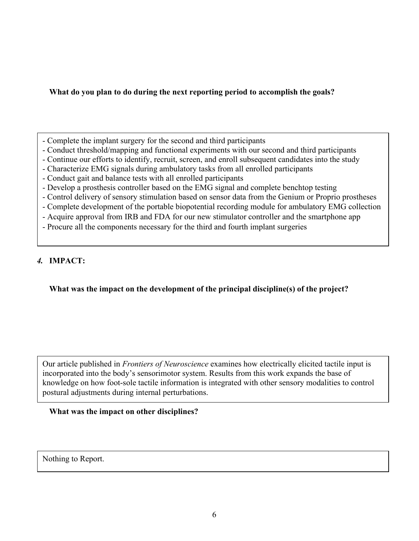**What do you plan to do during the next reporting period to accomplish the goals?**

- Complete the implant surgery for the second and third participants
- Conduct threshold/mapping and functional experiments with our second and third participants
- Continue our efforts to identify, recruit, screen, and enroll subsequent candidates into the study
- Characterize EMG signals during ambulatory tasks from all enrolled participants
- Conduct gait and balance tests with all enrolled participants
- Develop a prosthesis controller based on the EMG signal and complete benchtop testing
- Control delivery of sensory stimulation based on sensor data from the Genium or Proprio prostheses
- Complete development of the portable biopotential recording module for ambulatory EMG collection
- Acquire approval from IRB and FDA for our new stimulator controller and the smartphone app
- Procure all the components necessary for the third and fourth implant surgeries

## *4.* **IMPACT:**

## **What was the impact on the development of the principal discipline(s) of the project?**

Our article published in *Frontiers of Neuroscience* examines how electrically elicited tactile input is incorporated into the body's sensorimotor system. Results from this work expands the base of knowledge on how foot-sole tactile information is integrated with other sensory modalities to control postural adjustments during internal perturbations.

## **What was the impact on other disciplines?**

Nothing to Report.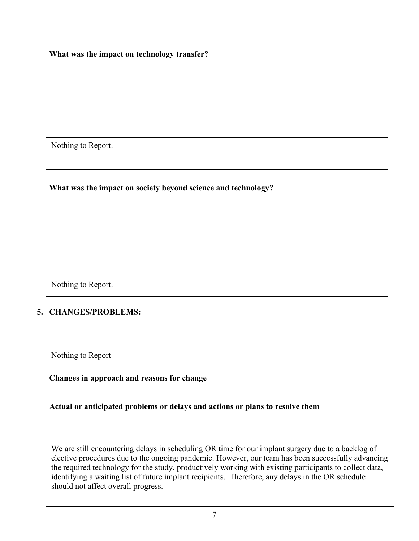**What was the impact on technology transfer?** 

Nothing to Report.

## **What was the impact on society beyond science and technology?**

Nothing to Report.

## **5. CHANGES/PROBLEMS:**

Nothing to Report

#### **Changes in approach and reasons for change**

#### **Actual or anticipated problems or delays and actions or plans to resolve them**

We are still encountering delays in scheduling OR time for our implant surgery due to a backlog of elective procedures due to the ongoing pandemic. However, our team has been successfully advancing the required technology for the study, productively working with existing participants to collect data, identifying a waiting list of future implant recipients. Therefore, any delays in the OR schedule should not affect overall progress.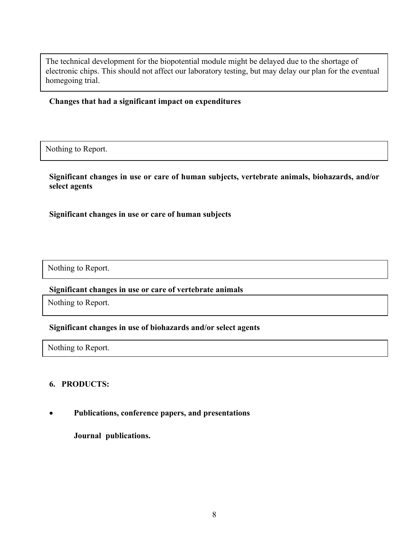The technical development for the biopotential module might be delayed due to the shortage of electronic chips. This should not affect our laboratory testing, but may delay our plan for the eventual homegoing trial.

#### **Changes that had a significant impact on expenditures**

Nothing to Report.

#### **Significant changes in use or care of human subjects, vertebrate animals, biohazards, and/or select agents**

#### **Significant changes in use or care of human subjects**

Nothing to Report.

#### **Significant changes in use or care of vertebrate animals**

Nothing to Report.

#### **Significant changes in use of biohazards and/or select agents**

Nothing to Report.

## **6. PRODUCTS:**

• **Publications, conference papers, and presentations**

**Journal publications.**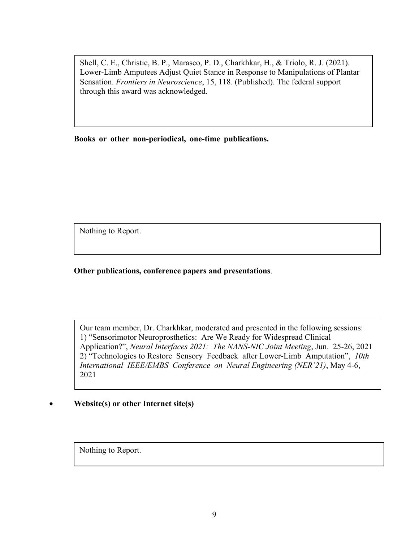Shell, C. E., Christie, B. P., Marasco, P. D., Charkhkar, H., & Triolo, R. J. (2021). Lower-Limb Amputees Adjust Quiet Stance in Response to Manipulations of Plantar Sensation. *Frontiers in Neuroscience*, 15, 118. (Published). The federal support through this award was acknowledged.

**Books or other non-periodical, one-time publications.** 

Nothing to Report.

**Other publications, conference papers and presentations**.

Our team member, Dr. Charkhkar, moderated and presented in the following sessions: 1) "Sensorimotor Neuroprosthetics: Are We Ready for Widespread Clinical Application?", *Neural Interfaces 2021: The NANS-NIC Joint Meeting*, Jun. 25-26, 2021 2) "Technologies to Restore Sensory Feedback after Lower-Limb Amputation", *10th International IEEE/EMBS Conference on Neural Engineering (NER'21)*, May 4-6, 2021

## • **Website(s) or other Internet site(s)**

Nothing to Report.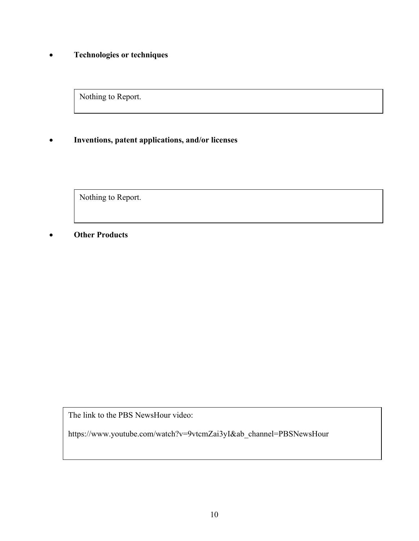• **Technologies or techniques**

Nothing to Report.

• **Inventions, patent applications, and/or licenses**

Nothing to Report.

**Other Products** 

The link to the PBS NewsHour video:

https://www.youtube.com/watch?v=9vtcmZai3yI&ab\_channel=PBSNewsHour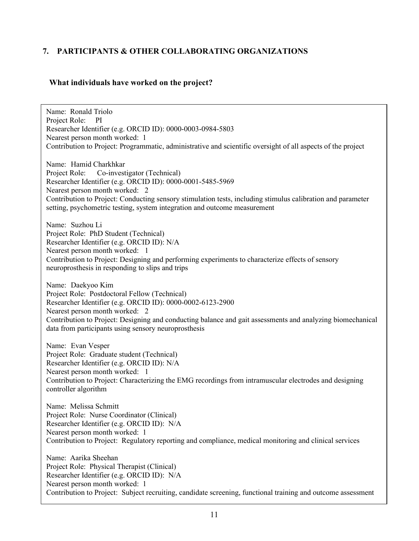## **7. PARTICIPANTS & OTHER COLLABORATING ORGANIZATIONS**

#### **What individuals have worked on the project?**

Name: Ronald Triolo Project Role: PI Researcher Identifier (e.g. ORCID ID): 0000-0003-0984-5803 Nearest person month worked: 1 Contribution to Project: Programmatic, administrative and scientific oversight of all aspects of the project Name: Hamid Charkhkar Project Role: Co-investigator (Technical) Researcher Identifier (e.g. ORCID ID): 0000-0001-5485-5969 Nearest person month worked: 2 Contribution to Project: Conducting sensory stimulation tests, including stimulus calibration and parameter setting, psychometric testing, system integration and outcome measurement Name: Suzhou Li Project Role: PhD Student (Technical) Researcher Identifier (e.g. ORCID ID): N/A Nearest person month worked: 1 Contribution to Project: Designing and performing experiments to characterize effects of sensory neuroprosthesis in responding to slips and trips Name: Daekyoo Kim Project Role: Postdoctoral Fellow (Technical) Researcher Identifier (e.g. ORCID ID): 0000-0002-6123-2900 Nearest person month worked: 2 Contribution to Project: Designing and conducting balance and gait assessments and analyzing biomechanical data from participants using sensory neuroprosthesis Name: Evan Vesper Project Role: Graduate student (Technical) Researcher Identifier (e.g. ORCID ID): N/A Nearest person month worked: 1 Contribution to Project: Characterizing the EMG recordings from intramuscular electrodes and designing controller algorithm Name: Melissa Schmitt Project Role: Nurse Coordinator (Clinical) Researcher Identifier (e.g. ORCID ID): N/A Nearest person month worked: 1 Contribution to Project: Regulatory reporting and compliance, medical monitoring and clinical services Name: Aarika Sheehan Project Role: Physical Therapist (Clinical) Researcher Identifier (e.g. ORCID ID): N/A Nearest person month worked: 1 Contribution to Project: Subject recruiting, candidate screening, functional training and outcome assessment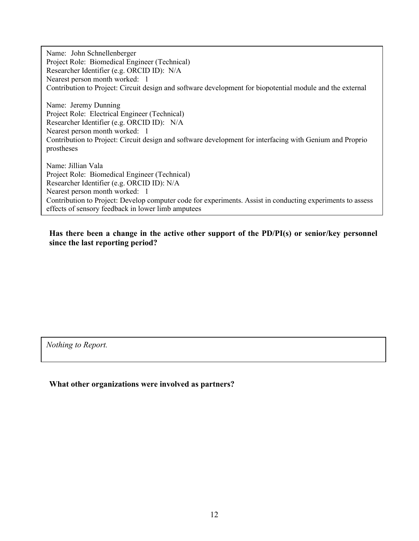Name: John Schnellenberger Project Role: Biomedical Engineer (Technical) Researcher Identifier (e.g. ORCID ID): N/A Nearest person month worked: 1 Contribution to Project: Circuit design and software development for biopotential module and the external Name: Jeremy Dunning Project Role: Electrical Engineer (Technical) Researcher Identifier (e.g. ORCID ID): N/A Nearest person month worked: 1 Contribution to Project: Circuit design and software development for interfacing with Genium and Proprio prostheses Name: Jillian Vala Project Role: Biomedical Engineer (Technical) Researcher Identifier (e.g. ORCID ID): N/A Nearest person month worked: 1

Contribution to Project: Develop computer code for experiments. Assist in conducting experiments to assess effects of sensory feedback in lower limb amputees

**Has there been a change in the active other support of the PD/PI(s) or senior/key personnel since the last reporting period?** 

*Nothing to Report.*

**What other organizations were involved as partners?**